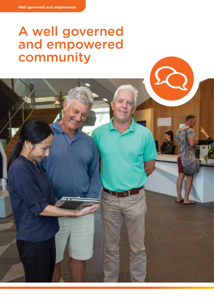# A well governed and empowered community

6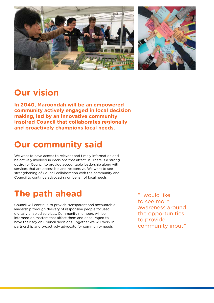

### **Our vision**

**In 2040, Maroondah will be an empowered community actively engaged in local decision making, led by an innovative community inspired Council that collaborates regionally and proactively champions local needs.**

# **Our community said**

We want to have access to relevant and timely information and be actively involved in decisions that affect us. There is a strong desire for Council to provide accountable leadership along with services that are accessible and responsive. We want to see strengthening of Council collaboration with the community and Council to continue advocating on behalf of local needs.

# **The path ahead**

Council will continue to provide transparent and accountable leadership through delivery of responsive people focused digitally enabled services. Community members will be informed on matters that affect them and encouraged to have their say on Council decisions. Together we will work in partnership and proactively advocate for community needs.

"I would like to see more awareness around the opportunities to provide community input."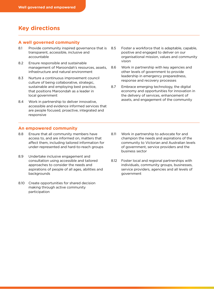### **Key directions**

#### **A well governed community**

- 8.1 Provide community inspired governance that is transparent, accessible, inclusive and accountable
- 8.2 Ensure responsible and sustainable management of Maroondah's resources, assets, infrastructure and natural environment
- 8.3 Nurture a continuous improvement council culture of being collaborative, strategic, sustainable and employing best practice, that positions Maroondah as a leader in local government
- 8.4 Work in partnership to deliver innovative, accessible and evidence informed services that are people focused, proactive, integrated and responsive

#### **An empowered community**

- 8.8 Ensure that all community members have access to, and are informed on, matters that affect them, including tailored information for under-represented and hard-to-reach groups
- 8.9 Undertake inclusive engagement and consultation using accessible and tailored approaches to consider the needs and aspirations of people of all ages, abilities and backgrounds
- 8.10 Create opportunities for shared decision making through active community participation
- 8.5 Foster a workforce that is adaptable, capable, positive and engaged to deliver on our organisational mission, values and community vision
- 8.6 Work in partnership with key agencies and other levels of government to provide leadership in emergency preparedness, response and recovery processes
- 8.7 Embrace emerging technology, the digital economy and opportunities for innovation in the delivery of services, enhancement of assets, and engagement of the community

- 8.11 Work in partnership to advocate for and champion the needs and aspirations of the community to Victorian and Australian levels of government, service providers and the business sector
- 8.12 Foster local and regional partnerships with individuals, community groups, businesses, service providers, agencies and all levels of government